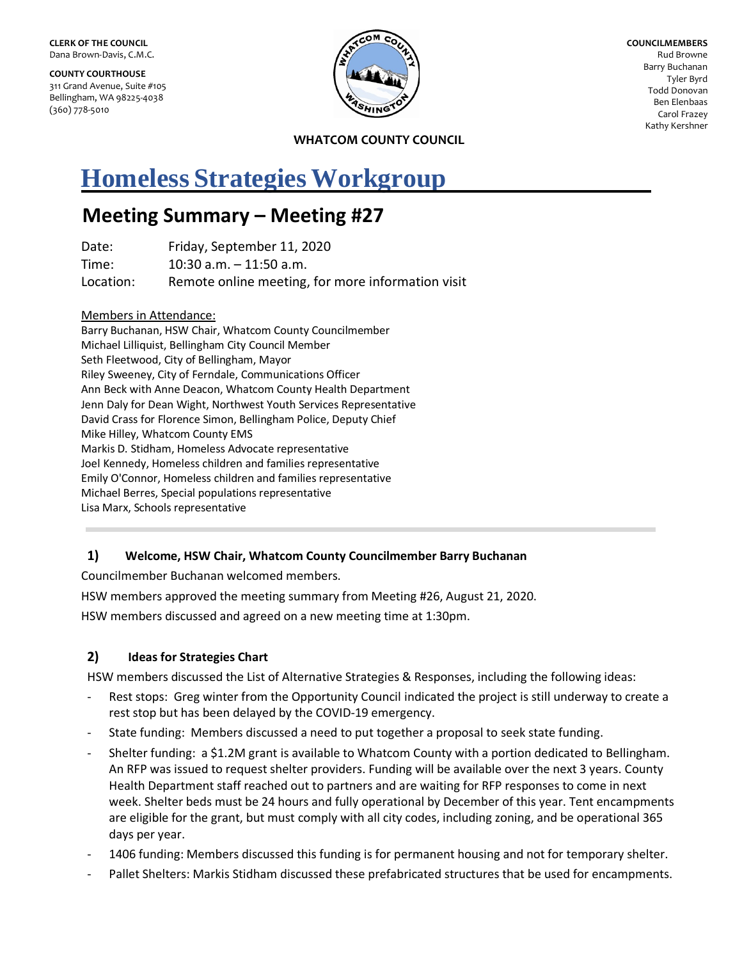**COUNTY COURTHOUSE** 311 Grand Avenue, Suite #105 Bellingham, WA 98225-4038 (360) 778-5010



**COUNCILMEMBERS** Rud Browne Barry Buchanan Tyler Byrd Todd Donovan Ben Elenbaas Carol Frazey Kathy Kershner

**WHATCOM COUNTY COUNCIL**

# **Homeless Strategies Workgroup**

# **Meeting Summary – Meeting #27**

| Date:     | Friday, September 11, 2020                        |
|-----------|---------------------------------------------------|
| Time:     | $10:30$ a.m. $-11:50$ a.m.                        |
| Location: | Remote online meeting, for more information visit |

#### Members in Attendance:

Barry Buchanan, HSW Chair, Whatcom County Councilmember Michael Lilliquist, Bellingham City Council Member Seth Fleetwood, City of Bellingham, Mayor Riley Sweeney, City of Ferndale, Communications Officer Ann Beck with Anne Deacon, Whatcom County Health Department Jenn Daly for Dean Wight, Northwest Youth Services Representative David Crass for Florence Simon, Bellingham Police, Deputy Chief Mike Hilley, Whatcom County EMS Markis D. Stidham, Homeless Advocate representative Joel Kennedy, Homeless children and families representative Emily O'Connor, Homeless children and families representative Michael Berres, Special populations representative Lisa Marx, Schools representative

# **1) Welcome, HSW Chair, Whatcom County Councilmember Barry Buchanan**

Councilmember Buchanan welcomed members.

HSW members approved the meeting summary from Meeting #26, August 21, 2020.

HSW members discussed and agreed on a new meeting time at 1:30pm.

# **2) Ideas for Strategies Chart**

HSW members discussed the List of Alternative Strategies & Responses, including the following ideas:

- Rest stops: Greg winter from the Opportunity Council indicated the project is still underway to create a rest stop but has been delayed by the COVID-19 emergency.
- State funding: Members discussed a need to put together a proposal to seek state funding.
- Shelter funding: a \$1.2M grant is available to Whatcom County with a portion dedicated to Bellingham. An RFP was issued to request shelter providers. Funding will be available over the next 3 years. County Health Department staff reached out to partners and are waiting for RFP responses to come in next week. Shelter beds must be 24 hours and fully operational by December of this year. Tent encampments are eligible for the grant, but must comply with all city codes, including zoning, and be operational 365 days per year.
- 1406 funding: Members discussed this funding is for permanent housing and not for temporary shelter.
- Pallet Shelters: Markis Stidham discussed these prefabricated structures that be used for encampments.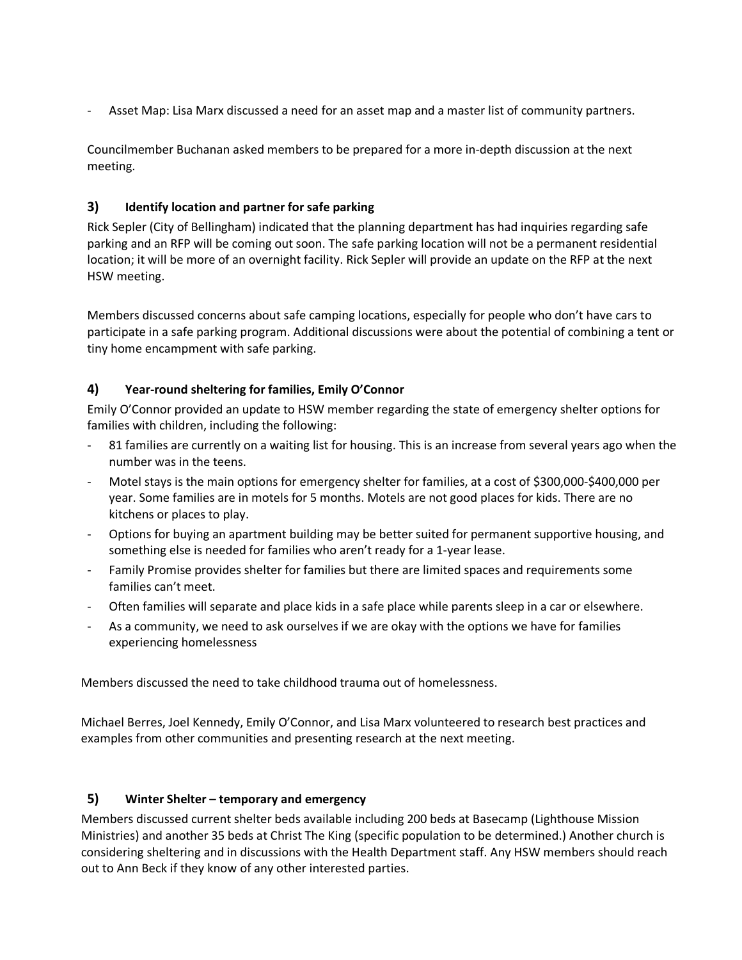Asset Map: Lisa Marx discussed a need for an asset map and a master list of community partners.

Councilmember Buchanan asked members to be prepared for a more in-depth discussion at the next meeting.

# **3) Identify location and partner for safe parking**

Rick Sepler (City of Bellingham) indicated that the planning department has had inquiries regarding safe parking and an RFP will be coming out soon. The safe parking location will not be a permanent residential location; it will be more of an overnight facility. Rick Sepler will provide an update on the RFP at the next HSW meeting.

Members discussed concerns about safe camping locations, especially for people who don't have cars to participate in a safe parking program. Additional discussions were about the potential of combining a tent or tiny home encampment with safe parking.

# **4) Year-round sheltering for families, Emily O'Connor**

Emily O'Connor provided an update to HSW member regarding the state of emergency shelter options for families with children, including the following:

- 81 families are currently on a waiting list for housing. This is an increase from several years ago when the number was in the teens.
- Motel stays is the main options for emergency shelter for families, at a cost of \$300,000-\$400,000 per year. Some families are in motels for 5 months. Motels are not good places for kids. There are no kitchens or places to play.
- Options for buying an apartment building may be better suited for permanent supportive housing, and something else is needed for families who aren't ready for a 1-year lease.
- Family Promise provides shelter for families but there are limited spaces and requirements some families can't meet.
- Often families will separate and place kids in a safe place while parents sleep in a car or elsewhere.
- As a community, we need to ask ourselves if we are okay with the options we have for families experiencing homelessness

Members discussed the need to take childhood trauma out of homelessness.

Michael Berres, Joel Kennedy, Emily O'Connor, and Lisa Marx volunteered to research best practices and examples from other communities and presenting research at the next meeting.

# **5) Winter Shelter – temporary and emergency**

Members discussed current shelter beds available including 200 beds at Basecamp (Lighthouse Mission Ministries) and another 35 beds at Christ The King (specific population to be determined.) Another church is considering sheltering and in discussions with the Health Department staff. Any HSW members should reach out to Ann Beck if they know of any other interested parties.